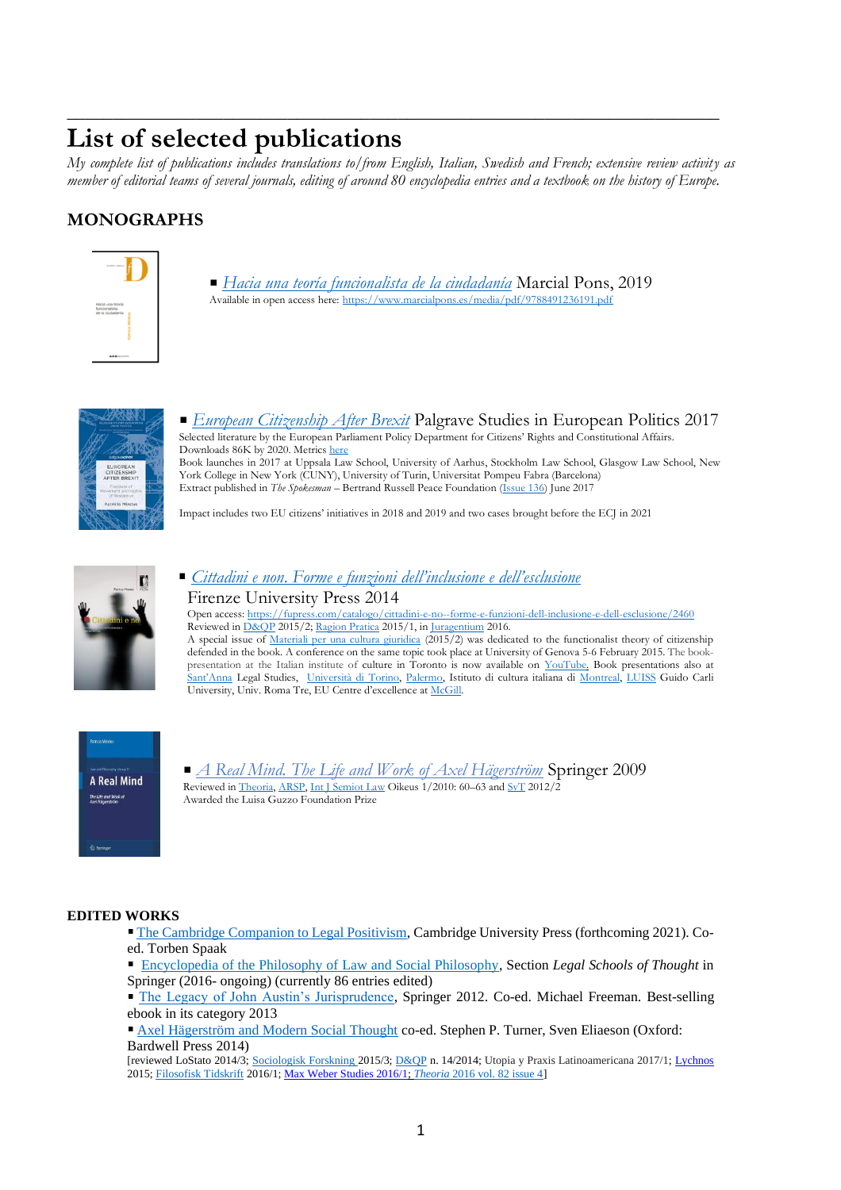# **List of selected publications**

*My complete list of publications includes translations to/from English, Italian, Swedish and French; extensive review activity as member of editorial teams of several journals, editing of around 80 encyclopedia entries and a textbook on the history of Europe.*

\_\_\_\_\_\_\_\_\_\_\_\_\_\_\_\_\_\_\_\_\_\_\_\_\_\_\_\_\_\_\_\_\_\_\_\_\_\_\_\_\_\_\_\_\_\_\_\_\_\_\_\_\_\_\_\_\_\_\_\_\_\_\_\_\_\_\_\_\_\_\_

# **MONOGRAPHS**



*[Hacia una teoría funcionalista de la ciudadanía](https://www.marcialpons.es/libros/hacia-una-teoria-funcionalista-de-la-ciudadania/9788491236191/)* Marcial Pons, 2019 Available in open access here[: https://www.marcialpons.es/media/pdf/9788491236191.pdf](https://www.marcialpons.es/media/pdf/9788491236191.pdf)



*[European Citizenship After Brexit](https://www.amazon.it/dp/3319517732)* Palgrave Studies in European Politics 2017 Selected literature by the European Parliament Policy Department for Citizens' Rights and Constitutional Affairs. Downloads 86K by 2020. Metrics [here](https://link.springer.com/book/10.1007%2F978-3-319-51774-2) Book launches in 2017 at Uppsala Law School, University of Aarhus, Stockholm Law School, Glasgow Law School, New York College in New York (CUNY), University of Turin, Universitat Pompeu Fabra (Barcelona) Extract published in *The Spokesman* – Bertrand Russell Peace Foundation [\(Issue 136\)](http://www.spokesmanbookshop.com/) June 2017

Impact includes two EU citizens' initiatives in 2018 and 2019 and two cases brought before the ECJ in 2021



# *Cittadini e non*. *Forme e funzioni [dell'inclusione e dell'esclusione](http://www.fupress.com/catalogo/cittadini-e-no--forme-e-funzioni-dell-inclusione-e-dell-esclusione/2460)* Firenze University Press 2014

Open access[: https://fupress.com/catalogo/cittadini-e-no--forme-e-funzioni-dell-inclusione-e-dell-esclusione/2460](https://fupress.com/catalogo/cittadini-e-no--forme-e-funzioni-dell-inclusione-e-dell-esclusione/2460) Reviewed in D&OP 2015/2[; Ragion Pratica](http://papers.ssrn.com/sol3/papers.cfm?abstract_id=2641225) 2015/1, in [Juragentium](http://www.juragentium.org/books/it/archibugi.html) 2016. A special issue of [Materiali per una cultura giuridica](https://www.rivisteweb.it/issn/1120-9607) (2015/2) was dedicated to the functionalist theory of citizenship defended in the book. A conference on the same topic took place at University of Genova 5-6 February 2015. The bookpresentation at the Italian institute of culture in Toronto is now available on [YouTube.](https://www.youtube.com/watch?v=yboQmqkkEUE) Book presentations also at [Sant'Anna](http://www.sssup.it/events_detail.jsp?IDAREA=207&ID_EVENT=2326>EMPLATE=ist_home.jsp) Legal Studies, [Università di Torino,](https://www.facebook.com/photo.php?fbid=10152472196937473&set=a.428127827472.192155.639622472&type=1&theater) [Palermo,](https://www.facebook.com/photo.php?fbid=10152414938322473&set=pcb.10152414943392473&type=1&theater) Istituto di cultura italiana di [Montreal,](http://www.iicmontreal.esteri.it/IIC_Montreal/webform/SchedaEvento.aspx?id=473) [LUISS](http://www.luiss.it/evento/2016/03/31/presentazione-del-volume-cittadini-e-no-forme-e-funzioni-dellinclusione-e-dellescl) Guido Carli University, Univ. Roma Tre, EU Centre d'excellence at [McGill.](http://www.centreurope-montreal.ca/fr/activites-nouvelles/activites/articles/erosion-ou-consolidation-de-la-citoyennete-de-l/)



*[A Real Mind. The Life and Work of Axel Hägerström](http://books.google.co.uk/books?id=GOk1Jca72UgC&printsec=frontcover&dq=patricia+mindus&source=bl&ots=PNg3f9LXMh&sig=VEKVshvdKU1lLq8gI9-sZsTAPJI&hl=en&ei=et7nTOGtGsHKhAfR7bzADA&sa=X&oi=book_result&ct=result&resnum=4&ved=0CCgQ6AEwAw#v=onepage&q&f=false)* Springer 2009 Reviewed i[n Theoria,](http://onlinelibrary.wiley.com/doi/10.1111/j.1755-2567.2010.01090.x/abstract;jsessionid=E3D11153F41BD0C5EBC05DB301BA086C.d04t03?userIsAuthenticated=false&deniedAccessCustomisedMessage=) [ARSP,](http://antwerp.academia.edu/MarcoGoldoni/Papers/1490218/Review_of_P._Mindus_A_Real_Mind_Springer_2009) [Int J Semiot](https://springerlink3.metapress.com/content/j16774377t5403m3/resource-secured/?target=fulltext.pdf&sid=wbdzoc2ob53j2ybsa0fusguk&sh=www.springerlink.com) Law Oikeus 1/2010: 60–63 an[d SvT](http://www.statsvetenskapligtidskrift.se/cms/documents/2736B32F-94C1-49DF-BAA4-7EF1FCBA81BA.pdf) 2012/2 Awarded the Luisa Guzzo Foundation Prize

## **EDITED WORKS**

- [The Cambridge Companion to Legal Positivism,]() Cambridge University Press (forthcoming 2021). Coed. Torben Spaak
- [Encyclopedia of the Philosophy of Law and Social Philosophy,](https://link.springer.com/referencework/10.1007/978-94-007-6730-0) Section *Legal Schools of Thought* in Springer (2016- ongoing) (currently 86 entries edited)
- [The Legacy of John Austin's Jurisprudence,](http://link.springer.com/book/10.1007/978-94-007-4830-9/page/1) Springer 2012. Co-ed. Michael Freeman. Best-selling ebook in its category 2013
- [Axel Hägerström and Modern Social Thought](https://www.academia.edu/7598402/Axel_H%C3%A4gerstr%C3%B6m_and_Modern_Social_Thought) co-ed. Stephen P. Turner, Sven Eliaeson (Oxford: Bardwell Press 2014)

[reviewed LoStato 2014/3[; Sociologisk Forskning](http://du.diva-portal.org/smash/get/diva2:855057/FULLTEXT01.pdf) 2015/3[; D&QP](http://www.dirittoequestionipubbliche.org/page/2014_n14/30-rece_Calzolari.pdf) n. 14/2014; Utopia y Praxis Latinoamericana 2017/1[; Lychnos](http://www.vethist.idehist.uu.se/lychnos/) 2015[; Filosofisk Tidskrift](http://www.bokforlagetthales.se/filosofisktidskrift/page2/page2.html) 2016/1[; Max Weber Studies 2016/1;](http://www.filosofi.uu.se/digitalAssets/556/556458_3review-ha-g-100-2016-max-weber.pdf) *Theoria* [2016 vol. 82 issue 4\]](http://onlinelibrary.wiley.com/doi/10.1111/theo.12107/full)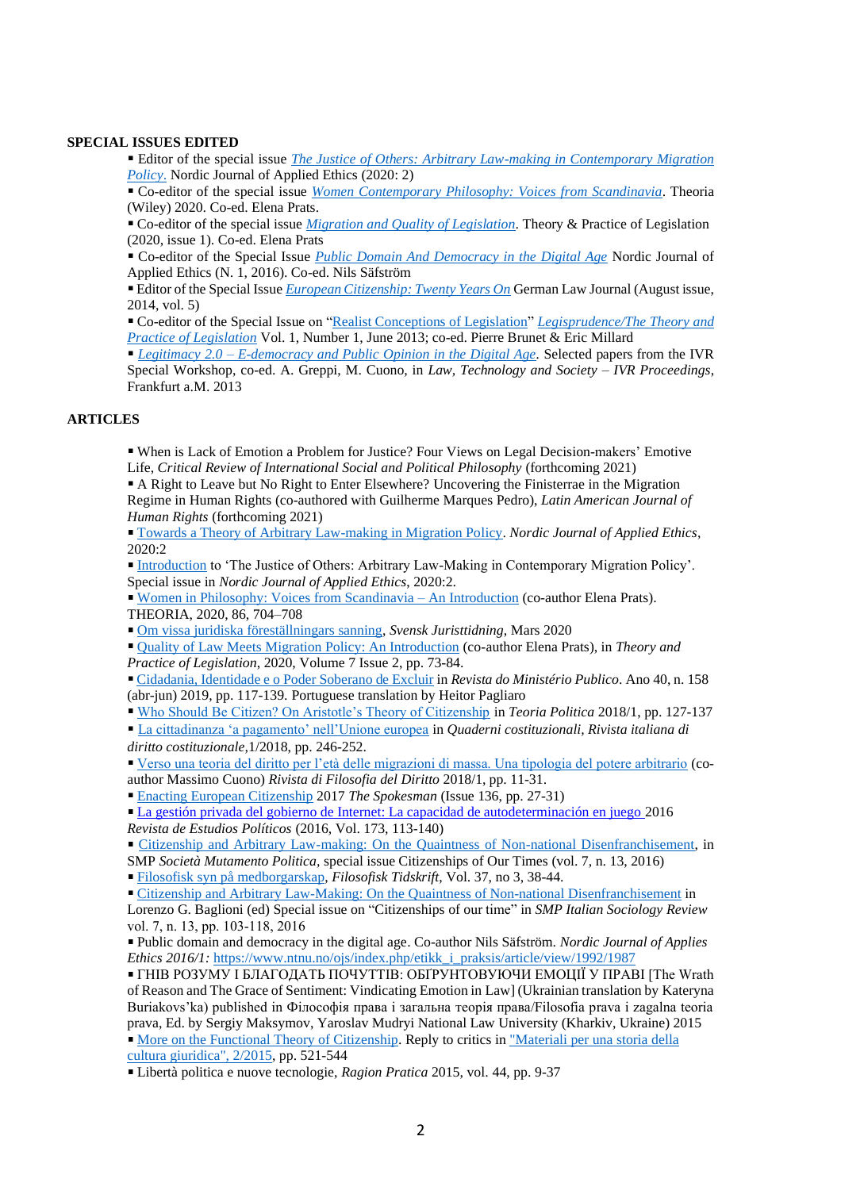#### **SPECIAL ISSUES EDITED**

Editor of the special issue *[The Justice of Others: Arbitrary Law-making in Contemporary Migration](https://www.ntnu.no/ojs/index.php/etikk_i_praksis/article/view/3830)  [Policy](https://www.ntnu.no/ojs/index.php/etikk_i_praksis/article/view/3830)*. Nordic Journal of Applied Ethics (2020: 2)

Co-editor of the special issue *[Women Contemporary Philosophy: Voices from Scandinavia](https://onlinelibrary.wiley.com/page/journal/17552567/special_issues)*. Theoria (Wiley) 2020. Co-ed. Elena Prats.

Co-editor of the special issue *Migration and [Quality of Legislation](https://www-tandfonline-com.ezproxy.its.uu.se/toc/rtpl20/7/2?nav=tocList)*. Theory & Practice of Legislation (2020, issue 1). Co-ed. Elena Prats

Co-editor of the Special Issue *[Public Domain And Democracy in the Digital Age](https://www.ntnu.no/ojs/index.php/etikk_i_praksis/announcement/view/16)* Nordic Journal of Applied Ethics (N. 1, 2016). Co-ed. Nils Säfström

Editor of the Special Issue *[European Citizenship: Twenty Years On](http://www.germanlawjournal.com/index.php?pageID=2&vol=15&no=5)* German Law Journal (August issue, 2014, vol. 5)

Co-editor of the Special Issue on ["Realist Conceptions of Legislation"](http://uu.diva-portal.org/smash/get/diva2:627342/FULLTEXT01.pdf) *[Legisprudence/The Theory and](http://www.ingentaconnect.com/content/hart/tpl/2013/00000001/00000001;jsessionid=4qsqd5fepg9ht.alice)  [Practice of Legislation](http://www.ingentaconnect.com/content/hart/tpl/2013/00000001/00000001;jsessionid=4qsqd5fepg9ht.alice)* Vol. 1, Number 1, June 2013; co-ed. Pierre Brunet & Eric Millard

*Legitimacy 2.0 – [E-democracy and Public Opinion in the Digital Age.](http://uppsala.academia.edu/PatriciaMindus/Books/1523457/LEGITIMACY_2.0_E-DEMOCRACY_AND_PUBLIC_OPINION_IN_THE_DIGITAL_AGE_edited_by_PATRICIA_MINDUS_ANDREA_GREPPI_MASSIMO_CUONO)* Selected papers from the IVR Special Workshop, co-ed. A. Greppi, M. Cuono, in *Law, Technology and Society – IVR Proceedings*, Frankfurt a.M. 2013

#### **ARTICLES**

When is Lack of Emotion a Problem for Justice? Four Views on Legal Decision-makers' Emotive Life, *Critical Review of International Social and Political Philosophy* (forthcoming 2021)

A Right to Leave but No Right to Enter Elsewhere? Uncovering the Finisterrae in the Migration Regime in Human Rights (co-authored with Guilherme Marques Pedro), *Latin American Journal of Human Rights* (forthcoming 2021)

[Towards a Theory of Arbitrary Law-making in Migration Policy.](https://www.ntnu.no/ojs/index.php/etikk_i_praksis/article/view/3712) *Nordic Journal of Applied Ethics*, 2020:2

[Introduction](https://www.ntnu.no/ojs/index.php/etikk_i_praksis/article/view/3830/3572) to 'The Justice of Others: Arbitrary Law-Making in Contemporary Migration Policy'. Special issue in *Nordic Journal of Applied Ethics*, 2020:2.

[Women in Philosophy: Voices from Scandinavia –](https://onlinelibrary.wiley.com/doi/full/10.1111/theo.12290) An Introduction (co-author Elena Prats). THEORIA, 2020, 86, 704–708

[Om vissa juridiska föreställningars sanning,](https://svjt.se/content/om-vissa-juridiska-forestallningars-sanning?fbclid=IwAR1YT58gGtaU5tG55uu5mS8CR00Esk5Zf-s2Nr-FjhuROL3IjnfuSu_F3pE) *Svensk Juristtidning*, Mars 2020

[Quality of Law Meets Migration Policy: An Introduction](https://www.tandfonline.com/doi/full/10.1080/20508840.2020.1729554) (co-author Elena Prats), in *Theory and Practice of Legislation*, 2020[, Volume 7](http://url310.tandfonline.com/ls/click?upn=odl8Fji2pFaByYDqV3bjGMQo8st9of2228V6AcSFNq2Vgk49wf2COskn6r9zWELvnh3dA0Fr0cdmjQzBSbBb-2F4nbx-2BIhO-2FMoaqkTTzOy4RaHoHB3E-2Fkm5LmmLIvYa8hlXK8x_-2F2Ce3NhTMiWIwvgWzERJRHtYgvdal9idULhvKrWUgwmDUc-2FDvbrMDWSUOucD-2BMo-2FbraHw-2BMbRZJOl1ZF0X4jq-2FVhZUo5gqTezZFLh1sRUlQOheYoqCSmt0xop5H-2B1ONU6lwDdAOjF3sXfK62dFeAoZuUTJpEFMD18BRfd6nSJwfII4OI12Soy6I25P-2F71RVPZFCu3Nnh7BUYlJRql2JGrNDxAuzR3hOrIudvOWqpDt0XxvKofesDM1dBSxBGUyooiz-2BLHsm5nfw67b6sFuoDmvHeMr6gtu2JU1op8JQxu8pqXi-2FjllU175DaMyaspSFC) [Issue 2,](http://url310.tandfonline.com/ls/click?upn=odl8Fji2pFaByYDqV3bjGMQo8st9of2228V6AcSFNq0XJZchXQ7mOzNpxtVLB1FXWnVohrMbd1KXo-2BaKp7rw1A-3D-3DMuTP_-2F2Ce3NhTMiWIwvgWzERJRHtYgvdal9idULhvKrWUgwmDUc-2FDvbrMDWSUOucD-2BMo-2FbraHw-2BMbRZJOl1ZF0X4jq-2FVhZUo5gqTezZFLh1sRUlQOheYoqCSmt0xop5H-2B1ONUrMFzS6YAvscPYPm3DhMYOD-2BuinadiDS7IK0CC8GntTMGp-2BFDuFh-2Fro-2FEhCAET2x9rITlDekTlro3UgbUu69L-2FGqBjypNkC1TV1PaXO5RuZ7KkPXImAUKYfRxoMfv9aZzo7Qw5RDaNAAh4u7aeD5ZumnlkYydEG-2BvOux6HzeZaFHH7NktZZgnJhnOzVXheCPg) pp. 73-84.

[Cidadania, Identidade e o Poder Soberano de Excluir](http://rmp.smmp.pt/wp-content/uploads/2019/08/6.RMP_158_Patricia_Mindus_3PAG.pdf) in *Revista do Ministério Publico*. Ano 40, n. 158 (abr-jun) 2019, pp. 117-139. Portuguese translation by Heitor Pagliaro

[Who Should Be Citizen? On Aristotle's Theory of Citizenship](https://uu.diva-portal.org/dream/add/add4.jsf) in *Teoria Politica* 2018/1, pp. 127-137

[La cittadinanza 'a pagamento' nell'Unione europea](http://uu.diva-portal.org/smash/record.jsf?pid=diva2%3A1196721&dswid=664) in *Quaderni costituzionali, Rivista italiana di diritto costituzionale,*1/2018, pp. 246-252.

[Verso una teoria del diritto per l'età delle migrazioni di massa. Una tipologia del potere arbitrario](/Users/patmi287/Downloads/Mindus.Cuono_RFD_finale%20(1)%20(1).pdf) (coauthor Massimo Cuono) *Rivista di Filosofia del Diritto* 2018/1, pp. 11-31.

[Enacting European Citizenship](https://spokesmanbookshop.com/epages/36621f87-f6e8-411d-b941-d46fe29be74c.sf/en_GB/?ObjectPath=/Shops/36621f87-f6e8-411d-b941-d46fe29be74c/Products/SPK136) 2017 *The Spokesman* (Issue 136, pp. 27-31)

[La gestión privada del gobierno de Internet: La capacidad de autodeterminación en juego](http://www.diva-portal.org/smash/record.jsf?dswid=-5008&pid=diva2%3A974081&c=15&searchType=SIMPLE&language=en&query=Mindus+patricia&af=%5B%22publicationTypeCode%3Aarticle%22%5D&aq=%5B%5B%5D%5D&aq2=%5B%5B%5D%5D&aqe=%5B%5D&noOfRows=50&sortOrder=author_sort_asc&onlyFullText=false&sf=all) 2016 *Revista de Estudios Políticos* (2016, Vol. 173, 113-140)

[Citizenship and Arbitrary Law-making: On the Quaintness of Non-national Disenfranchisement,](http://www.fupress.net/index.php/smp/article/view/18287) in

SMP *Società Mutamento Politica,* special issue Citizenships of Our Times (vol. 7, n. 13, 2016)

[Filosofisk syn på medborgarskap,](http://uu.diva-portal.org/smash/record.jsf?pid=diva2%3A1040240&dswid=-5304) *Filosofisk Tidskrift*, Vol. 37, no 3, 38-44.

Citizenship and Arbitrary Law-Making: [On the Quaintness of Non-national Disenfranchisement](http://www.fupress.net/index.php/smp/article/view/18287) in Lorenzo G. Baglioni (ed) Special issue on "Citizenships of our time" in *SMP Italian Sociology Review* vol. 7, n. 13, pp. 103-118, 2016

Public domain and democracy in the digital age. Co-author Nils Säfström. *Nordic Journal of Applies Ethics 2016/1:* [https://www.ntnu.no/ojs/index.php/etikk\\_i\\_praksis/article/view/1992/1987](https://www.ntnu.no/ojs/index.php/etikk_i_praksis/article/view/1992/1987)

ГНІВ РОЗУМУ І БЛАГОДАТЬ ПОЧУТТІВ: ОБҐРУНТОВУЮЧИ ЕМОЦІЇ У ПРАВІ [The Wrath of Reason and The Grace of Sentiment: Vindicating Emotion in Law] (Ukrainian translation by Kateryna Buriakovs'ka) published in Філософія права і загальна теорія права/Filosofia prava i zagalna teoria prava, Ed. by Sergiy Maksymov, Yaroslav Mudryi National Law University (Kharkiv, Ukraine) 2015 [More on the Functional Theory of Citizenship.](https://www.rivisteweb.it/doi/10.1436/81407) Reply to critics in ["Materiali](https://www.rivisteweb.it/issn/1120-9607/issue/6765) per una storia della cultura [giuridica",](https://www.rivisteweb.it/issn/1120-9607/issue/6765) 2/2015, pp. 521-544

Libertà politica e nuove tecnologie, *Ragion Pratica* 2015, vol. 44, pp. 9-37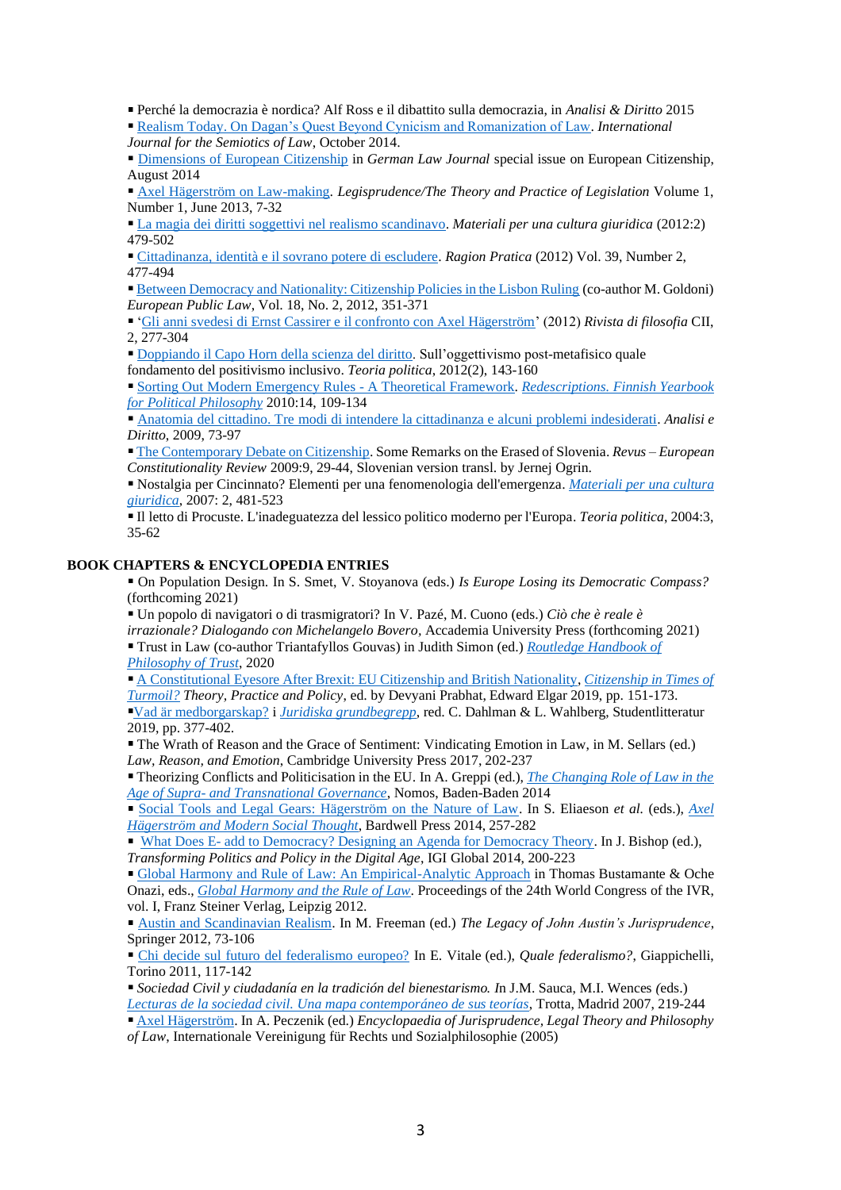Perché la democrazia è nordica? Alf Ross e il dibattito sulla democrazia, in *Analisi & Diritto* 2015

[Realism Today. On Dagan's Quest Beyond Cynicism and Romanization of Law.](http://link.springer.com/article/10.1007%2Fs11196-014-9397-2#page-1) *International* 

*Journal for the Semiotics of Law*, October 2014.

[Dimensions of European Citizenship](http://www.germanlawjournal.com/index.php?pageID=11&artID=1639) in *German Law Journal* special issue on European Citizenship, August 2014

[Axel Hägerström on Law-making.](http://www.ingentaconnect.com/content/hart/tpl/2013/00000001/00000001/art00002?crawler=true) *Legisprudence/The Theory and Practice of Legislation* Volume 1, Number 1, June 2013, 7-32

[La magia dei diritti soggettivi nel realismo scandinavo.](https://agenda.unibocconi.it/eventi/attach/Mindus_I_magici_diritti_soggettivi%5B1%5D20120131121649.pdf) *Materiali per una cultura giuridica* (2012:2) 479-502

[Cittadinanza, identità e il sovrano potere di escludere.](http://www.rivisteweb.it/doi/10.1415/38543) *Ragion Pratica* (2012) Vol. 39, Number 2, 477-494

[Between Democracy and Nationality: Citizenship Policies in the Lisbon Ruling](http://papers.ssrn.com/sol3/papers.cfm?abstract_id=1855566) (co-author M. Goldoni) *European Public Law*, Vol. 18, No. 2, 2012, 351-371

['Gli anni svedesi di Ernst Cassirer e il confronto con Axel Hägerström'](http://www.mulino.it/rivisteweb/scheda_articolo.php?id_articolo=37258) (2012) *Rivista di filosofia* CII, 2, 277-304

[Doppiando il Capo Horn della scienza del diritto.](http://uu.diva-portal.org/smash/get/diva2:555611/FULLTEXT02) Sull'oggettivismo post-metafisico quale fondamento del positivismo inclusivo. *Teoria politica*, 2012(2), 143-160

[Sorting Out Modern Emergency Rules -](http://uu.diva-portal.org/smash/record.jsf?searchId=2&pid=diva2:465982) A Theoretical Framework. *[Redescriptions. Finnish Yearbook](http://www.jyu.fi/yhtfil/redescriptions/editornote.htm)  [for Political Philosophy](http://www.jyu.fi/yhtfil/redescriptions/editornote.htm)* 2010:14, 109-134

[Anatomia del cittadino. Tre modi di intendere la cittadinanza e alcuni problemi indesiderati.](http://revistas.marcialpons.es/fichaarticulo.php?id_articulo=1057) *Analisi e Diritto*, 2009, 73-97

[The Contemporary Debate on Citizenship.](http://revus.revues.org/425) Some Remarks on the Erased of Slovenia. *Revus – European Constitutionality Review* 2009:9, 29-44, Slovenian version transl. by Jernej Ogrin.

Nostalgia per Cincinnato? Elementi per una fenomenologia dell'emergenza. *Materiali [per una cultura](http://www.mulino.it/edizioni/riviste/scheda_rivista.php?issn=1120-9607)  [giuridica](http://www.mulino.it/edizioni/riviste/scheda_rivista.php?issn=1120-9607)*, 2007: 2, 481-523

Il letto di Procuste. L'inadeguatezza del lessico politico moderno per l'Europa. *Teoria politica*, 2004:3, 35-62

## **BOOK CHAPTERS & ENCYCLOPEDIA ENTRIES**

On Population Design. In S. Smet, V. Stoyanova (eds.) *Is Europe Losing its Democratic Compass?*  (forthcoming 2021)

Un popolo di navigatori o di trasmigratori? In V. Pazé, M. Cuono (eds.) *Ciò che è reale è irrazionale? Dialogando con Michelangelo Bovero,* Accademia University Press (forthcoming 2021) Trust in Law (co-author Triantafyllos Gouvas) in Judith Simon (ed.) *[Routledge Handbook of](https://www.routledge.com/The-Routledge-Handbook-of-Trust-and-Philosophy/Simon/p/book/9781138687462)  [Philosophy of Trust](https://www.routledge.com/The-Routledge-Handbook-of-Trust-and-Philosophy/Simon/p/book/9781138687462)*, 2020

[A Constitutional Eyesore After Brexit: EU Citizenship and British Nationality,](http://uu.diva-portal.org/smash/get/diva2:1353357/FULLTEXT01.pdf) *[Citizenship in Times of](https://www.e-elgar.com/shop/citizenship-in-times-of-turmoil)  [Turmoil?](https://www.e-elgar.com/shop/citizenship-in-times-of-turmoil) Theory, Practice and Policy*, ed. by Devyani Prabhat, Edward Elgar 2019, pp. 151-173. [Vad är medborgarskap?](http://uu.diva-portal.org/smash/record.jsf?dswid=7675&pid=diva2%3A1353385&c=1&searchType=SIMPLE&language=en&query=patricia+mindus+vad+%C3%A4r&af=%5B%5D&aq=%5B%5B%5D%5D&aq2=%5B%5B%5D%5D&aqe=%5B%5D&noOfRows=50&sortOrder=author_sort_asc&sortOrder2=title_sort_asc&onlyFullText=false&sf=all) i *[Juridiska grundbegrepp](https://www.studentlitteratur.se/#9789144127118/Juridiska+grundbegrepp)*, red. C. Dahlman & L. Wahlberg, Studentlitteratur 2019, pp. 377-402.

The Wrath of Reason and the Grace of Sentiment: Vindicating Emotion in Law, in M. Sellars (ed.) *Law, Reason, and Emotion*, Cambridge University Press 2017, 202-237

Theorizing Conflicts and Politicisation in the EU. In A. Greppi (ed.), *[The Changing Role of Law in the](http://www.nomos-shop.de/_assets/downloads/9783832953614_lese01.pdf)  Age of Supra- [and Transnational Governance](http://www.nomos-shop.de/_assets/downloads/9783832953614_lese01.pdf)*, Nomos, Baden-Baden 2014

[Social Tools and Legal Gears: Hägerström on the Nature of Law.](http://uu.diva-portal.org/smash/record.jsf?searchId=2&pid=diva2:466329) In S. Eliaeson *et al.* (eds.), *[Axel](http://www.hagerstromcentennial.se/index.html)  [Hägerström and Modern Social Thought](http://www.hagerstromcentennial.se/index.html)*, Bardwell Press 2014, 257-282

What Does E- [add to Democracy? Designing an Agenda for Democracy Theory.](http://www.igi-global.com/chapter/what-does-e--add-to-democracy/108394) In J. Bishop (ed.), *Transforming Politics and Policy in the Digital Age*, IGI Global 2014, 200-223

[Global Harmony and Rule of Law: An Empirical-Analytic Approach](http://papers.ssrn.com/sol3/papers.cfm?abstract_id=1866684) in Thomas Bustamante & Oche Onazi, eds., *[Global Harmony and the Rule of Law](http://www.steiner-verlag.de/reihe/view/titel/59025.html)*. Proceedings of the 24th World Congress of the IVR, vol. I, Franz Steiner Verlag, Leipzig 2012.

[Austin and Scandinavian Realism.](http://www.springerlink.com/content/hn243820786r1468/) In M. Freeman (ed.) *The Legacy of John Austin's Jurisprudence*, Springer 2012, 73-106

[Chi decide sul futuro del federalismo europeo?](http://uu.diva-portal.org/smash/record.jsf?searchId=2&pid=diva2:466000) In E. Vitale (ed.), *Quale federalismo?*, Giappichelli, Torino 2011, 117-142

*Sociedad Civil y ciudadanía en la tradición del bienestarismo. I*n J.M. Sauca, M.I. Wences *(*eds.) *[Lecturas de la sociedad civil. Una mapa contemporáneo de sus teorías](http://www.trotta.es/pagina.php?cs_id_pagina=13&cs_id_contenido=2220)*, Trotta, Madrid 2007, 219-244

[Axel Hägerström.](http://ivr-enc.info/index.php?title=H%C3%A4gerstr%C3%B6m,_Axel) In A. Peczenik (ed.) *Encyclopaedia of Jurisprudence, Legal Theory and Philosophy of Law*, Internationale Vereinigung für Rechts und Sozialphilosophie (2005)